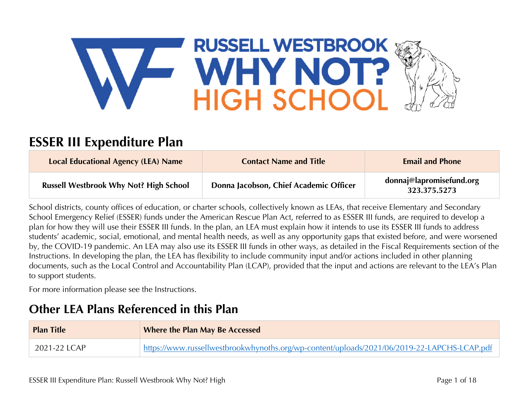

# **ESSER III Expenditure Plan**

| <b>Local Educational Agency (LEA) Name</b>    | <b>Contact Name and Title</b>          | <b>Email and Phone</b>                   |
|-----------------------------------------------|----------------------------------------|------------------------------------------|
| <b>Russell Westbrook Why Not? High School</b> | Donna Jacobson, Chief Academic Officer | donnaj@lapromisefund.org<br>323.375.5273 |

School districts, county offices of education, or charter schools, collectively known as LEAs, that receive Elementary and Secondary School Emergency Relief (ESSER) funds under the American Rescue Plan Act, referred to as ESSER III funds, are required to develop a plan for how they will use their ESSER III funds. In the plan, an LEA must explain how it intends to use its ESSER III funds to address students' academic, social, emotional, and mental health needs, as well as any opportunity gaps that existed before, and were worsened by, the COVID-19 pandemic. An LEA may also use its ESSER III funds in other ways, as detailed in the Fiscal Requirements section of the Instructions. In developing the plan, the LEA has flexibility to include community input and/or actions included in other planning documents, such as the Local Control and Accountability Plan (LCAP), provided that the input and actions are relevant to the LEA's Plan to support students.

For more information please see the Instructions.

# **Other LEA Plans Referenced in this Plan**

| <b>Plan Title</b> | <b>Where the Plan May Be Accessed</b>                                                       |
|-------------------|---------------------------------------------------------------------------------------------|
| 2021-22 LCAP      | https://www.russellwestbrookwhynoths.org/wp-content/uploads/2021/06/2019-22-LAPCHS-LCAP.pdf |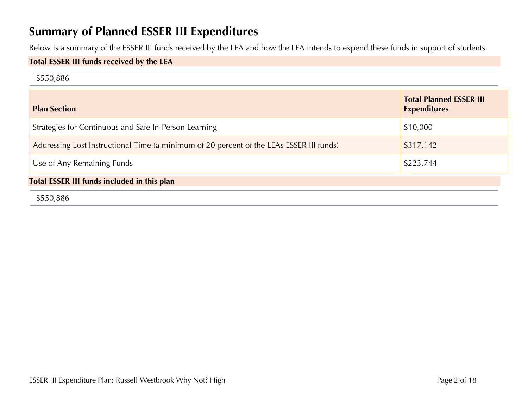# **Summary of Planned ESSER III Expenditures**

Below is a summary of the ESSER III funds received by the LEA and how the LEA intends to expend these funds in support of students.

### **Total ESSER III funds received by the LEA**

| <b>Plan Section</b>                                                                      | <b>Total Planned ESSER III</b><br><b>Expenditures</b> |
|------------------------------------------------------------------------------------------|-------------------------------------------------------|
| Strategies for Continuous and Safe In-Person Learning                                    | \$10,000                                              |
| Addressing Lost Instructional Time (a minimum of 20 percent of the LEAs ESSER III funds) | \$317,142                                             |
| Use of Any Remaining Funds                                                               | \$223,744                                             |

### **Total ESSER III funds included in this plan**

\$550,886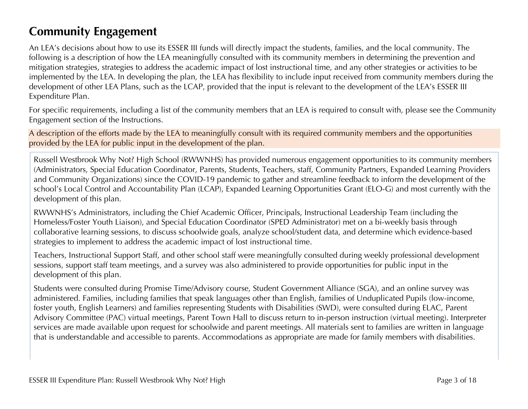# **Community Engagement**

An LEA's decisions about how to use its ESSER III funds will directly impact the students, families, and the local community. The following is a description of how the LEA meaningfully consulted with its community members in determining the prevention and mitigation strategies, strategies to address the academic impact of lost instructional time, and any other strategies or activities to be implemented by the LEA. In developing the plan, the LEA has flexibility to include input received from community members during the development of other LEA Plans, such as the LCAP, provided that the input is relevant to the development of the LEA's ESSER III Expenditure Plan.

For specific requirements, including a list of the community members that an LEA is required to consult with, please see the Community Engagement section of the Instructions.

A description of the efforts made by the LEA to meaningfully consult with its required community members and the opportunities provided by the LEA for public input in the development of the plan.

Russell Westbrook Why Not? High School (RWWNHS) has provided numerous engagement opportunities to its community members (Administrators, Special Education Coordinator, Parents, Students, Teachers, staff, Community Partners, Expanded Learning Providers and Community Organizations) since the COVID-19 pandemic to gather and streamline feedback to inform the development of the school's Local Control and Accountability Plan (LCAP), Expanded Learning Opportunities Grant (ELO-G) and most currently with the development of this plan.

RWWNHS's Administrators, including the Chief Academic Officer, Principals, Instructional Leadership Team (including the Homeless/Foster Youth Liaison), and Special Education Coordinator (SPED Administrator) met on a bi-weekly basis through collaborative learning sessions, to discuss schoolwide goals, analyze school/student data, and determine which evidence-based strategies to implement to address the academic impact of lost instructional time.

Teachers, Instructional Support Staff, and other school staff were meaningfully consulted during weekly professional development sessions, support staff team meetings, and a survey was also administered to provide opportunities for public input in the development of this plan.

Students were consulted during Promise Time/Advisory course, Student Government Alliance (SGA), and an online survey was administered. Families, including families that speak languages other than English, families of Unduplicated Pupils (low-income, foster youth, English Learners) and families representing Students with Disabilities (SWD), were consulted during ELAC, Parent Advisory Committee (PAC) virtual meetings, Parent Town Hall to discuss return to in-person instruction (virtual meeting). Interpreter services are made available upon request for schoolwide and parent meetings. All materials sent to families are written in language that is understandable and accessible to parents. Accommodations as appropriate are made for family members with disabilities.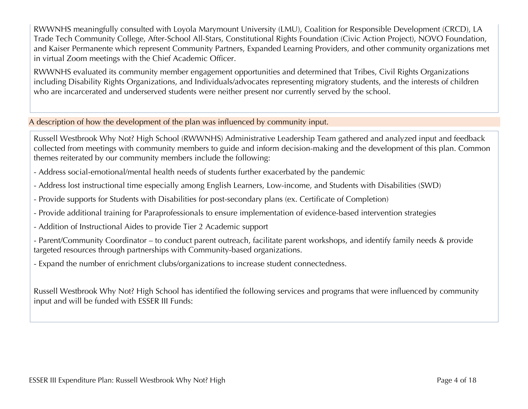RWWNHS meaningfully consulted with Loyola Marymount University (LMU), Coalition for Responsible Development (CRCD), LA Trade Tech Community College, After-School All-Stars, Constitutional Rights Foundation (Civic Action Project), NOVO Foundation, and Kaiser Permanente which represent Community Partners, Expanded Learning Providers, and other community organizations met in virtual Zoom meetings with the Chief Academic Officer.

RWWNHS evaluated its community member engagement opportunities and determined that Tribes, Civil Rights Organizations including Disability Rights Organizations, and Individuals/advocates representing migratory students, and the interests of children who are incarcerated and underserved students were neither present nor currently served by the school.

#### A description of how the development of the plan was influenced by community input.

Russell Westbrook Why Not? High School (RWWNHS) Administrative Leadership Team gathered and analyzed input and feedback collected from meetings with community members to guide and inform decision-making and the development of this plan. Common themes reiterated by our community members include the following:

- Address social-emotional/mental health needs of students further exacerbated by the pandemic
- Address lost instructional time especially among English Learners, Low-income, and Students with Disabilities (SWD)
- Provide supports for Students with Disabilities for post-secondary plans (ex. Certificate of Completion)
- Provide additional training for Paraprofessionals to ensure implementation of evidence-based intervention strategies
- Addition of Instructional Aides to provide Tier 2 Academic support
- Parent/Community Coordinator to conduct parent outreach, facilitate parent workshops, and identify family needs & provide targeted resources through partnerships with Community-based organizations.
- Expand the number of enrichment clubs/organizations to increase student connectedness.

Russell Westbrook Why Not? High School has identified the following services and programs that were influenced by community input and will be funded with ESSER III Funds: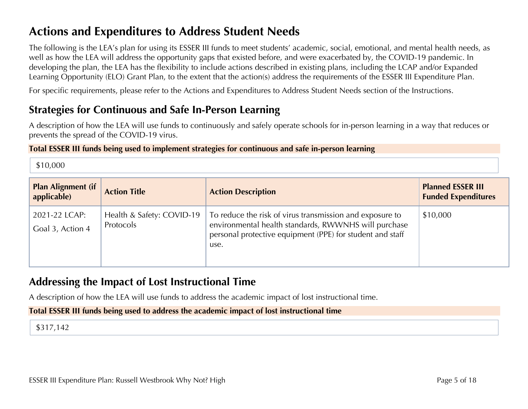# **Actions and Expenditures to Address Student Needs**

The following is the LEA's plan for using its ESSER III funds to meet students' academic, social, emotional, and mental health needs, as well as how the LEA will address the opportunity gaps that existed before, and were exacerbated by, the COVID-19 pandemic. In developing the plan, the LEA has the flexibility to include actions described in existing plans, including the LCAP and/or Expanded Learning Opportunity (ELO) Grant Plan, to the extent that the action(s) address the requirements of the ESSER III Expenditure Plan.

For specific requirements, please refer to the Actions and Expenditures to Address Student Needs section of the Instructions.

## **Strategies for Continuous and Safe In-Person Learning**

A description of how the LEA will use funds to continuously and safely operate schools for in-person learning in a way that reduces or prevents the spread of the COVID-19 virus.

#### **Total ESSER III funds being used to implement strategies for continuous and safe in-person learning**

\$10,000

| <b>Plan Alignment (if</b><br>applicable) | <b>Action Title</b>                    | <b>Action Description</b>                                                                                                                                                             | <b>Planned ESSER III</b><br><b>Funded Expenditures</b> |
|------------------------------------------|----------------------------------------|---------------------------------------------------------------------------------------------------------------------------------------------------------------------------------------|--------------------------------------------------------|
| 2021-22 LCAP:<br>Goal 3, Action 4        | Health & Safety: COVID-19<br>Protocols | To reduce the risk of virus transmission and exposure to<br>environmental health standards, RWWNHS will purchase<br>personal protective equipment (PPE) for student and staff<br>use. | \$10,000                                               |

# **Addressing the Impact of Lost Instructional Time**

A description of how the LEA will use funds to address the academic impact of lost instructional time.

**Total ESSER III funds being used to address the academic impact of lost instructional time**

## \$317,142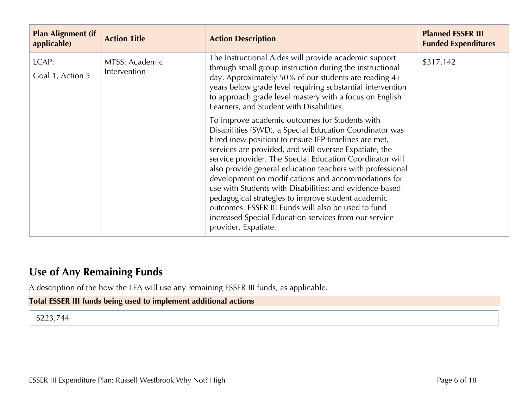| <b>Plan Alignment (if</b><br>applicable) | <b>Action Title</b>            | <b>Action Description</b>                                                                                                                                                                                                                                                                                                                                                                                                                                                                                                                                                                                                                                                                                                                                                                                                                                                                                                                                                                                                | <b>Planned ESSER III</b><br><b>Funded Expenditures</b> |
|------------------------------------------|--------------------------------|--------------------------------------------------------------------------------------------------------------------------------------------------------------------------------------------------------------------------------------------------------------------------------------------------------------------------------------------------------------------------------------------------------------------------------------------------------------------------------------------------------------------------------------------------------------------------------------------------------------------------------------------------------------------------------------------------------------------------------------------------------------------------------------------------------------------------------------------------------------------------------------------------------------------------------------------------------------------------------------------------------------------------|--------------------------------------------------------|
| LCAP:<br>Goal 1, Action 5                | MTSS: Academic<br>Intervention | The Instructional Aides will provide academic support<br>through small group instruction during the instructional<br>day. Approximately 50% of our students are reading 4+<br>years below grade level requiring substantial intervention<br>to approach grade level mastery with a focus on English<br>Learners, and Student with Disabilities.<br>To improve academic outcomes for Students with<br>Disabilities (SWD), a Special Education Coordinator was<br>hired (new position) to ensure IEP timelines are met,<br>services are provided, and will oversee Expatiate, the<br>service provider. The Special Education Coordinator will<br>also provide general education teachers with professional<br>development on modifications and accommodations for<br>use with Students with Disabilities; and evidence-based<br>pedagogical strategies to improve student academic<br>outcomes. ESSER III Funds will also be used to fund<br>increased Special Education services from our service<br>provider, Expatiate. | \$317,142                                              |

# **Use of Any Remaining Funds**

A description of the how the LEA will use any remaining ESSER III funds, as applicable.

## **Total ESSER III funds being used to implement additional actions**

\$223,744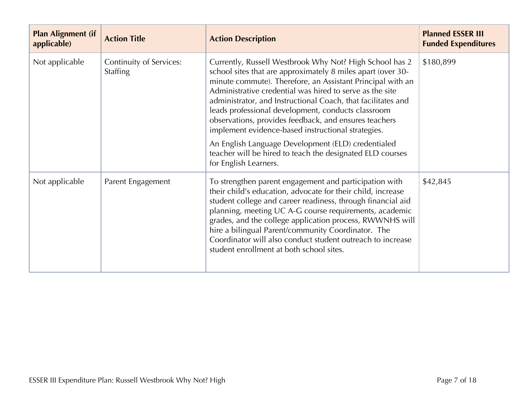| <b>Plan Alignment (if</b><br>applicable) | <b>Action Title</b>                        | <b>Action Description</b>                                                                                                                                                                                                                                                                                                                                                                                                                                                             | <b>Planned ESSER III</b><br><b>Funded Expenditures</b> |
|------------------------------------------|--------------------------------------------|---------------------------------------------------------------------------------------------------------------------------------------------------------------------------------------------------------------------------------------------------------------------------------------------------------------------------------------------------------------------------------------------------------------------------------------------------------------------------------------|--------------------------------------------------------|
| Not applicable                           | Continuity of Services:<br><b>Staffing</b> | Currently, Russell Westbrook Why Not? High School has 2<br>school sites that are approximately 8 miles apart (over 30-<br>minute commute). Therefore, an Assistant Principal with an<br>Administrative credential was hired to serve as the site<br>administrator, and Instructional Coach, that facilitates and<br>leads professional development, conducts classroom<br>observations, provides feedback, and ensures teachers<br>implement evidence-based instructional strategies. | \$180,899                                              |
|                                          |                                            | An English Language Development (ELD) credentialed<br>teacher will be hired to teach the designated ELD courses<br>for English Learners.                                                                                                                                                                                                                                                                                                                                              |                                                        |
| Not applicable                           | Parent Engagement                          | To strengthen parent engagement and participation with<br>their child's education, advocate for their child, increase<br>student college and career readiness, through financial aid<br>planning, meeting UC A-G course requirements, academic<br>grades, and the college application process, RWWNHS will<br>hire a bilingual Parent/community Coordinator. The<br>Coordinator will also conduct student outreach to increase<br>student enrollment at both school sites.            | \$42,845                                               |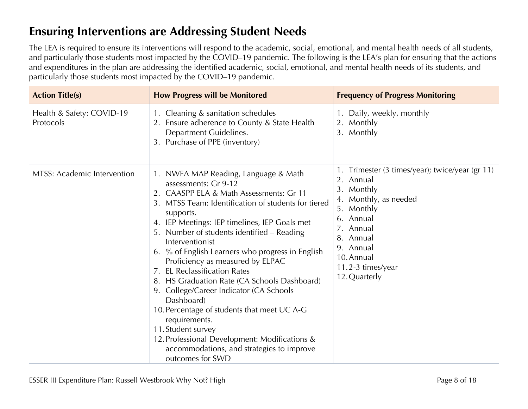# **Ensuring Interventions are Addressing Student Needs**

The LEA is required to ensure its interventions will respond to the academic, social, emotional, and mental health needs of all students, and particularly those students most impacted by the COVID–19 pandemic. The following is the LEA's plan for ensuring that the actions and expenditures in the plan are addressing the identified academic, social, emotional, and mental health needs of its students, and particularly those students most impacted by the COVID–19 pandemic.

| <b>Action Title(s)</b>                 | <b>How Progress will be Monitored</b>                                                                                                                                                                                                                                                                                                                                                                                                                                                                                                                                                                                                                                                                                                               | <b>Frequency of Progress Monitoring</b>                                                                                                                                                                                |
|----------------------------------------|-----------------------------------------------------------------------------------------------------------------------------------------------------------------------------------------------------------------------------------------------------------------------------------------------------------------------------------------------------------------------------------------------------------------------------------------------------------------------------------------------------------------------------------------------------------------------------------------------------------------------------------------------------------------------------------------------------------------------------------------------------|------------------------------------------------------------------------------------------------------------------------------------------------------------------------------------------------------------------------|
| Health & Safety: COVID-19<br>Protocols | 1. Cleaning & sanitation schedules<br>2. Ensure adherence to County & State Health<br>Department Guidelines.<br>3. Purchase of PPE (inventory)                                                                                                                                                                                                                                                                                                                                                                                                                                                                                                                                                                                                      | 1. Daily, weekly, monthly<br>2. Monthly<br>3. Monthly                                                                                                                                                                  |
| <b>MTSS: Academic Intervention</b>     | 1. NWEA MAP Reading, Language & Math<br>assessments: Gr 9-12<br>2. CAASPP ELA & Math Assessments: Gr 11<br>3. MTSS Team: Identification of students for tiered<br>supports.<br>4. IEP Meetings: IEP timelines, IEP Goals met<br>5. Number of students identified - Reading<br>Interventionist<br>6. % of English Learners who progress in English<br>Proficiency as measured by ELPAC<br><b>EL Reclassification Rates</b><br>7.<br>HS Graduation Rate (CA Schools Dashboard)<br>8.<br>9. College/Career Indicator (CA Schools<br>Dashboard)<br>10. Percentage of students that meet UC A-G<br>requirements.<br>11. Student survey<br>12. Professional Development: Modifications &<br>accommodations, and strategies to improve<br>outcomes for SWD | 1. Trimester (3 times/year); twice/year (gr 11)<br>2. Annual<br>3. Monthly<br>4. Monthly, as needed<br>5. Monthly<br>Annual<br>7. Annual<br>8. Annual<br>9. Annual<br>10. Annual<br>11.2-3 times/year<br>12. Quarterly |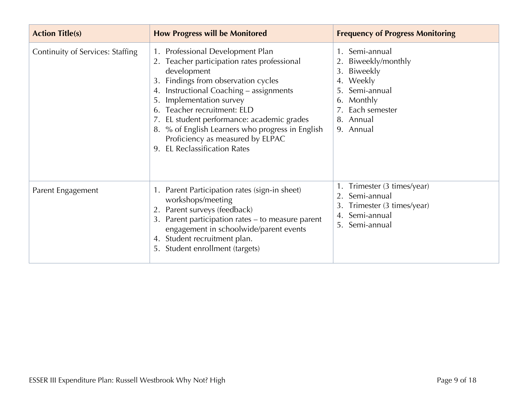| <b>Action Title(s)</b>                  | <b>How Progress will be Monitored</b>                                                                                                                                                                                                                                                                                                                                                                                             | <b>Frequency of Progress Monitoring</b>                                                                                                      |
|-----------------------------------------|-----------------------------------------------------------------------------------------------------------------------------------------------------------------------------------------------------------------------------------------------------------------------------------------------------------------------------------------------------------------------------------------------------------------------------------|----------------------------------------------------------------------------------------------------------------------------------------------|
| <b>Continuity of Services: Staffing</b> | 1. Professional Development Plan<br>2. Teacher participation rates professional<br>development<br>Findings from observation cycles<br>3.<br>Instructional Coaching - assignments<br>4.<br>Implementation survey<br>5.<br>Teacher recruitment: ELD<br>EL student performance: academic grades<br>% of English Learners who progress in English<br>8.<br>Proficiency as measured by ELPAC<br><b>EL Reclassification Rates</b><br>9. | 1. Semi-annual<br>Biweekly/monthly<br>2.<br>3. Biweekly<br>Weekly<br>4.<br>Semi-annual<br>Monthly<br>7. Each semester<br>Annual<br>9. Annual |
| Parent Engagement                       | 1. Parent Participation rates (sign-in sheet)<br>workshops/meeting<br>Parent surveys (feedback)<br>Parent participation rates – to measure parent<br>3.<br>engagement in schoolwide/parent events<br>Student recruitment plan.<br>4.<br>Student enrollment (targets)<br>5.                                                                                                                                                        | Trimester (3 times/year)<br>2. Semi-annual<br>3.<br>Trimester (3 times/year)<br>Semi-annual<br>4.<br>Semi-annual<br>5.                       |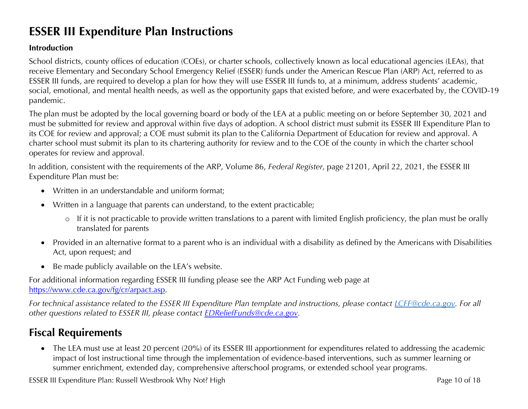# **ESSER III Expenditure Plan Instructions**

### **Introduction**

School districts, county offices of education (COEs), or charter schools, collectively known as local educational agencies (LEAs), that receive Elementary and Secondary School Emergency Relief (ESSER) funds under the American Rescue Plan (ARP) Act, referred to as ESSER III funds, are required to develop a plan for how they will use ESSER III funds to, at a minimum, address students' academic, social, emotional, and mental health needs, as well as the opportunity gaps that existed before, and were exacerbated by, the COVID-19 pandemic.

The plan must be adopted by the local governing board or body of the LEA at a public meeting on or before September 30, 2021 and must be submitted for review and approval within five days of adoption. A school district must submit its ESSER III Expenditure Plan to its COE for review and approval; a COE must submit its plan to the California Department of Education for review and approval. A charter school must submit its plan to its chartering authority for review and to the COE of the county in which the charter school operates for review and approval.

In addition, consistent with the requirements of the ARP, Volume 86, *Federal Register*, page 21201, April 22, 2021, the ESSER III Expenditure Plan must be:

- Written in an understandable and uniform format;
- Written in a language that parents can understand, to the extent practicable;
	- o If it is not practicable to provide written translations to a parent with limited English proficiency, the plan must be orally translated for parents
- Provided in an alternative format to a parent who is an individual with a disability as defined by the Americans with Disabilities Act, upon request; and
- Be made publicly available on the LEA's website.

For additional information regarding ESSER III funding please see the ARP Act Funding web page at https://www.cde.ca.gov/fg/cr/arpact.asp.

*For technical assistance related to the ESSER III Expenditure Plan template and instructions, please contact LCFF@cde.ca.gov. For all other questions related to ESSER III, please contact EDReliefFunds@cde.ca.gov.* 

# **Fiscal Requirements**

• The LEA must use at least 20 percent (20%) of its ESSER III apportionment for expenditures related to addressing the academic impact of lost instructional time through the implementation of evidence-based interventions, such as summer learning or summer enrichment, extended day, comprehensive afterschool programs, or extended school year programs.

ESSER III Expenditure Plan: Russell Westbrook Why Not? High Page 10 of 18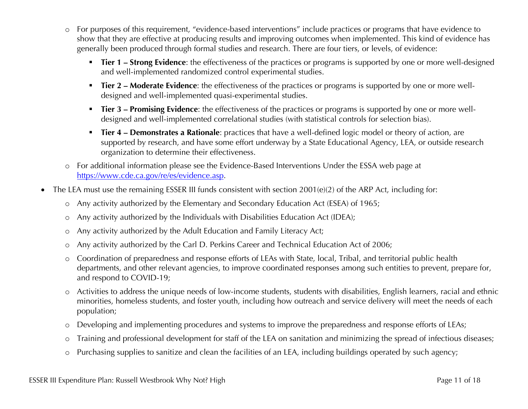- o For purposes of this requirement, "evidence-based interventions" include practices or programs that have evidence to show that they are effective at producing results and improving outcomes when implemented. This kind of evidence has generally been produced through formal studies and research. There are four tiers, or levels, of evidence:
	- **Tier 1 Strong Evidence**: the effectiveness of the practices or programs is supported by one or more well-designed and well-implemented randomized control experimental studies.
	- **Tier 2 Moderate Evidence**: the effectiveness of the practices or programs is supported by one or more welldesigned and well-implemented quasi-experimental studies.
	- § **Tier 3 – Promising Evidence**: the effectiveness of the practices or programs is supported by one or more welldesigned and well-implemented correlational studies (with statistical controls for selection bias).
	- § **Tier 4 – Demonstrates a Rationale**: practices that have a well-defined logic model or theory of action, are supported by research, and have some effort underway by a State Educational Agency, LEA, or outside research organization to determine their effectiveness.
- o For additional information please see the Evidence-Based Interventions Under the ESSA web page at https://www.cde.ca.gov/re/es/evidence.asp.
- The LEA must use the remaining ESSER III funds consistent with section 2001(e)(2) of the ARP Act, including for:
	- o Any activity authorized by the Elementary and Secondary Education Act (ESEA) of 1965;
	- o Any activity authorized by the Individuals with Disabilities Education Act (IDEA);
	- o Any activity authorized by the Adult Education and Family Literacy Act;
	- o Any activity authorized by the Carl D. Perkins Career and Technical Education Act of 2006;
	- o Coordination of preparedness and response efforts of LEAs with State, local, Tribal, and territorial public health departments, and other relevant agencies, to improve coordinated responses among such entities to prevent, prepare for, and respond to COVID-19;
	- o Activities to address the unique needs of low-income students, students with disabilities, English learners, racial and ethnic minorities, homeless students, and foster youth, including how outreach and service delivery will meet the needs of each population;
	- o Developing and implementing procedures and systems to improve the preparedness and response efforts of LEAs;
	- o Training and professional development for staff of the LEA on sanitation and minimizing the spread of infectious diseases;
	- o Purchasing supplies to sanitize and clean the facilities of an LEA, including buildings operated by such agency;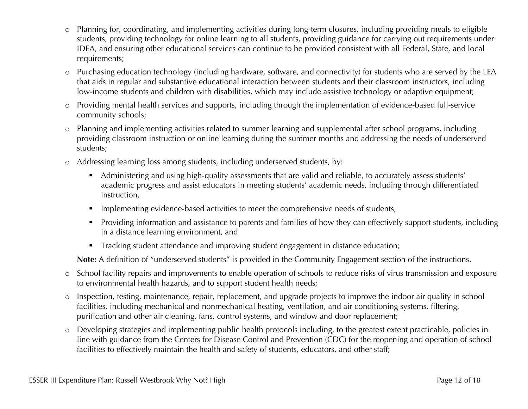- o Planning for, coordinating, and implementing activities during long-term closures, including providing meals to eligible students, providing technology for online learning to all students, providing guidance for carrying out requirements under IDEA, and ensuring other educational services can continue to be provided consistent with all Federal, State, and local requirements;
- o Purchasing education technology (including hardware, software, and connectivity) for students who are served by the LEA that aids in regular and substantive educational interaction between students and their classroom instructors, including low-income students and children with disabilities, which may include assistive technology or adaptive equipment;
- o Providing mental health services and supports, including through the implementation of evidence-based full-service community schools;
- o Planning and implementing activities related to summer learning and supplemental after school programs, including providing classroom instruction or online learning during the summer months and addressing the needs of underserved students;
- o Addressing learning loss among students, including underserved students, by:
	- Administering and using high-quality assessments that are valid and reliable, to accurately assess students' academic progress and assist educators in meeting students' academic needs, including through differentiated instruction,
	- **•** Implementing evidence-based activities to meet the comprehensive needs of students,
	- § Providing information and assistance to parents and families of how they can effectively support students, including in a distance learning environment, and
	- Tracking student attendance and improving student engagement in distance education;

**Note:** A definition of "underserved students" is provided in the Community Engagement section of the instructions.

- o School facility repairs and improvements to enable operation of schools to reduce risks of virus transmission and exposure to environmental health hazards, and to support student health needs;
- o Inspection, testing, maintenance, repair, replacement, and upgrade projects to improve the indoor air quality in school facilities, including mechanical and nonmechanical heating, ventilation, and air conditioning systems, filtering, purification and other air cleaning, fans, control systems, and window and door replacement;
- o Developing strategies and implementing public health protocols including, to the greatest extent practicable, policies in line with guidance from the Centers for Disease Control and Prevention (CDC) for the reopening and operation of school facilities to effectively maintain the health and safety of students, educators, and other staff;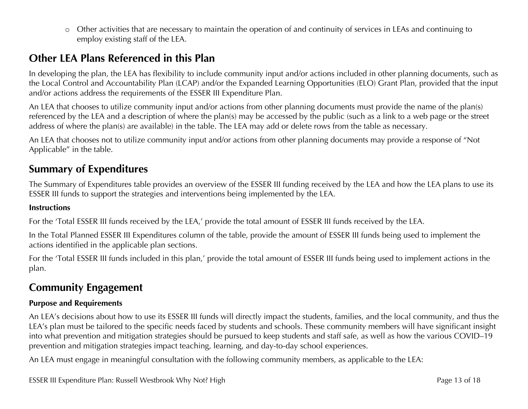o Other activities that are necessary to maintain the operation of and continuity of services in LEAs and continuing to employ existing staff of the LEA.

## **Other LEA Plans Referenced in this Plan**

In developing the plan, the LEA has flexibility to include community input and/or actions included in other planning documents, such as the Local Control and Accountability Plan (LCAP) and/or the Expanded Learning Opportunities (ELO) Grant Plan, provided that the input and/or actions address the requirements of the ESSER III Expenditure Plan.

An LEA that chooses to utilize community input and/or actions from other planning documents must provide the name of the plan(s) referenced by the LEA and a description of where the plan(s) may be accessed by the public (such as a link to a web page or the street address of where the plan(s) are available) in the table. The LEA may add or delete rows from the table as necessary.

An LEA that chooses not to utilize community input and/or actions from other planning documents may provide a response of "Not Applicable" in the table.

## **Summary of Expenditures**

The Summary of Expenditures table provides an overview of the ESSER III funding received by the LEA and how the LEA plans to use its ESSER III funds to support the strategies and interventions being implemented by the LEA.

#### **Instructions**

For the 'Total ESSER III funds received by the LEA,' provide the total amount of ESSER III funds received by the LEA.

In the Total Planned ESSER III Expenditures column of the table, provide the amount of ESSER III funds being used to implement the actions identified in the applicable plan sections.

For the 'Total ESSER III funds included in this plan,' provide the total amount of ESSER III funds being used to implement actions in the plan.

## **Community Engagement**

#### **Purpose and Requirements**

An LEA's decisions about how to use its ESSER III funds will directly impact the students, families, and the local community, and thus the LEA's plan must be tailored to the specific needs faced by students and schools. These community members will have significant insight into what prevention and mitigation strategies should be pursued to keep students and staff safe, as well as how the various COVID–19 prevention and mitigation strategies impact teaching, learning, and day-to-day school experiences.

An LEA must engage in meaningful consultation with the following community members, as applicable to the LEA:

ESSER III Expenditure Plan: Russell Westbrook Why Not? High Page 13 of 18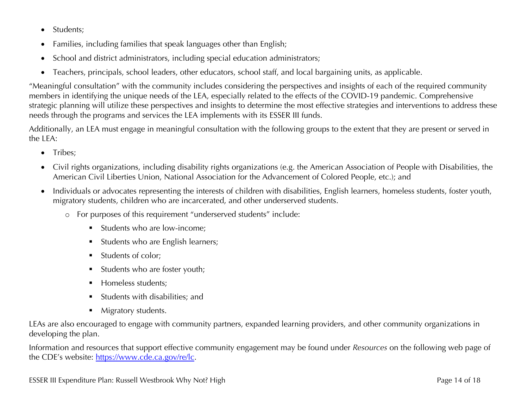- Students;
- Families, including families that speak languages other than English;
- School and district administrators, including special education administrators;
- Teachers, principals, school leaders, other educators, school staff, and local bargaining units, as applicable.

"Meaningful consultation" with the community includes considering the perspectives and insights of each of the required community members in identifying the unique needs of the LEA, especially related to the effects of the COVID-19 pandemic. Comprehensive strategic planning will utilize these perspectives and insights to determine the most effective strategies and interventions to address these needs through the programs and services the LEA implements with its ESSER III funds.

Additionally, an LEA must engage in meaningful consultation with the following groups to the extent that they are present or served in the LEA:

- Tribes:
- Civil rights organizations, including disability rights organizations (e.g. the American Association of People with Disabilities, the American Civil Liberties Union, National Association for the Advancement of Colored People, etc.); and
- Individuals or advocates representing the interests of children with disabilities, English learners, homeless students, foster youth, migratory students, children who are incarcerated, and other underserved students.
	- o For purposes of this requirement "underserved students" include:
		- Students who are low-income:
		- § Students who are English learners;
		- § Students of color;
		- § Students who are foster youth;
		- § Homeless students;
		- § Students with disabilities; and
		- Migratory students.

LEAs are also encouraged to engage with community partners, expanded learning providers, and other community organizations in developing the plan.

Information and resources that support effective community engagement may be found under *Resources* on the following web page of the CDE's website: https://www.cde.ca.gov/re/lc.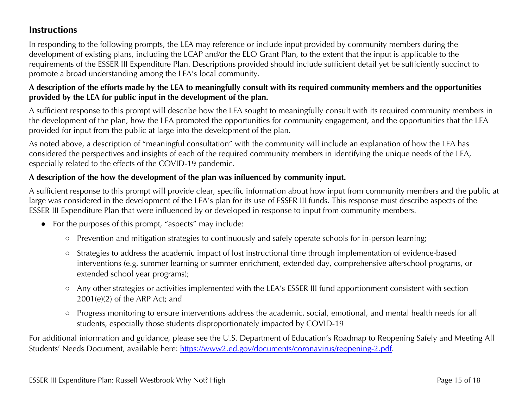## **Instructions**

In responding to the following prompts, the LEA may reference or include input provided by community members during the development of existing plans, including the LCAP and/or the ELO Grant Plan, to the extent that the input is applicable to the requirements of the ESSER III Expenditure Plan. Descriptions provided should include sufficient detail yet be sufficiently succinct to promote a broad understanding among the LEA's local community.

## **A description of the efforts made by the LEA to meaningfully consult with its required community members and the opportunities provided by the LEA for public input in the development of the plan.**

A sufficient response to this prompt will describe how the LEA sought to meaningfully consult with its required community members in the development of the plan, how the LEA promoted the opportunities for community engagement, and the opportunities that the LEA provided for input from the public at large into the development of the plan.

As noted above, a description of "meaningful consultation" with the community will include an explanation of how the LEA has considered the perspectives and insights of each of the required community members in identifying the unique needs of the LEA, especially related to the effects of the COVID-19 pandemic.

## **A description of the how the development of the plan was influenced by community input.**

A sufficient response to this prompt will provide clear, specific information about how input from community members and the public at large was considered in the development of the LEA's plan for its use of ESSER III funds. This response must describe aspects of the ESSER III Expenditure Plan that were influenced by or developed in response to input from community members.

- For the purposes of this prompt, "aspects" may include:
	- Prevention and mitigation strategies to continuously and safely operate schools for in-person learning;
	- Strategies to address the academic impact of lost instructional time through implementation of evidence-based interventions (e.g. summer learning or summer enrichment, extended day, comprehensive afterschool programs, or extended school year programs);
	- Any other strategies or activities implemented with the LEA's ESSER III fund apportionment consistent with section 2001(e)(2) of the ARP Act; and
	- Progress monitoring to ensure interventions address the academic, social, emotional, and mental health needs for all students, especially those students disproportionately impacted by COVID-19

For additional information and guidance, please see the U.S. Department of Education's Roadmap to Reopening Safely and Meeting All Students' Needs Document, available here: https://www2.ed.gov/documents/coronavirus/reopening-2.pdf.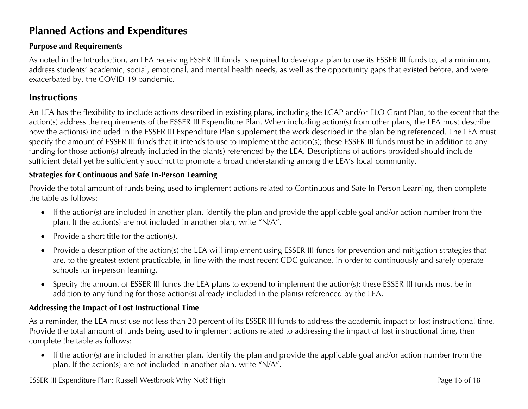# **Planned Actions and Expenditures**

### **Purpose and Requirements**

As noted in the Introduction, an LEA receiving ESSER III funds is required to develop a plan to use its ESSER III funds to, at a minimum, address students' academic, social, emotional, and mental health needs, as well as the opportunity gaps that existed before, and were exacerbated by, the COVID-19 pandemic.

## **Instructions**

An LEA has the flexibility to include actions described in existing plans, including the LCAP and/or ELO Grant Plan, to the extent that the action(s) address the requirements of the ESSER III Expenditure Plan. When including action(s) from other plans, the LEA must describe how the action(s) included in the ESSER III Expenditure Plan supplement the work described in the plan being referenced. The LEA must specify the amount of ESSER III funds that it intends to use to implement the action(s); these ESSER III funds must be in addition to any funding for those action(s) already included in the plan(s) referenced by the LEA. Descriptions of actions provided should include sufficient detail yet be sufficiently succinct to promote a broad understanding among the LEA's local community.

#### **Strategies for Continuous and Safe In-Person Learning**

Provide the total amount of funds being used to implement actions related to Continuous and Safe In-Person Learning, then complete the table as follows:

- If the action(s) are included in another plan, identify the plan and provide the applicable goal and/or action number from the plan. If the action(s) are not included in another plan, write "N/A".
- Provide a short title for the action(s).
- Provide a description of the action(s) the LEA will implement using ESSER III funds for prevention and mitigation strategies that are, to the greatest extent practicable, in line with the most recent CDC guidance, in order to continuously and safely operate schools for in-person learning.
- Specify the amount of ESSER III funds the LEA plans to expend to implement the action(s); these ESSER III funds must be in addition to any funding for those action(s) already included in the plan(s) referenced by the LEA.

#### **Addressing the Impact of Lost Instructional Time**

As a reminder, the LEA must use not less than 20 percent of its ESSER III funds to address the academic impact of lost instructional time. Provide the total amount of funds being used to implement actions related to addressing the impact of lost instructional time, then complete the table as follows:

• If the action(s) are included in another plan, identify the plan and provide the applicable goal and/or action number from the plan. If the action(s) are not included in another plan, write "N/A".

ESSER III Expenditure Plan: Russell Westbrook Why Not? High Page 16 of 18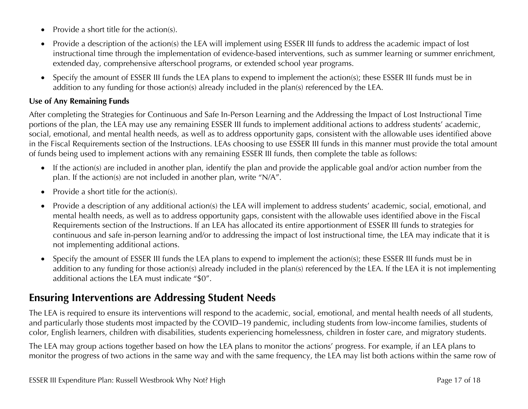- Provide a short title for the action(s).
- Provide a description of the action(s) the LEA will implement using ESSER III funds to address the academic impact of lost instructional time through the implementation of evidence-based interventions, such as summer learning or summer enrichment, extended day, comprehensive afterschool programs, or extended school year programs.
- Specify the amount of ESSER III funds the LEA plans to expend to implement the action(s); these ESSER III funds must be in addition to any funding for those action(s) already included in the plan(s) referenced by the LEA.

#### **Use of Any Remaining Funds**

After completing the Strategies for Continuous and Safe In-Person Learning and the Addressing the Impact of Lost Instructional Time portions of the plan, the LEA may use any remaining ESSER III funds to implement additional actions to address students' academic, social, emotional, and mental health needs, as well as to address opportunity gaps, consistent with the allowable uses identified above in the Fiscal Requirements section of the Instructions. LEAs choosing to use ESSER III funds in this manner must provide the total amount of funds being used to implement actions with any remaining ESSER III funds, then complete the table as follows:

- If the action(s) are included in another plan, identify the plan and provide the applicable goal and/or action number from the plan. If the action(s) are not included in another plan, write "N/A".
- Provide a short title for the action(s).
- Provide a description of any additional action(s) the LEA will implement to address students' academic, social, emotional, and mental health needs, as well as to address opportunity gaps, consistent with the allowable uses identified above in the Fiscal Requirements section of the Instructions. If an LEA has allocated its entire apportionment of ESSER III funds to strategies for continuous and safe in-person learning and/or to addressing the impact of lost instructional time, the LEA may indicate that it is not implementing additional actions.
- Specify the amount of ESSER III funds the LEA plans to expend to implement the action(s); these ESSER III funds must be in addition to any funding for those action(s) already included in the plan(s) referenced by the LEA. If the LEA it is not implementing additional actions the LEA must indicate "\$0".

## **Ensuring Interventions are Addressing Student Needs**

The LEA is required to ensure its interventions will respond to the academic, social, emotional, and mental health needs of all students, and particularly those students most impacted by the COVID–19 pandemic, including students from low-income families, students of color, English learners, children with disabilities, students experiencing homelessness, children in foster care, and migratory students.

The LEA may group actions together based on how the LEA plans to monitor the actions' progress. For example, if an LEA plans to monitor the progress of two actions in the same way and with the same frequency, the LEA may list both actions within the same row of